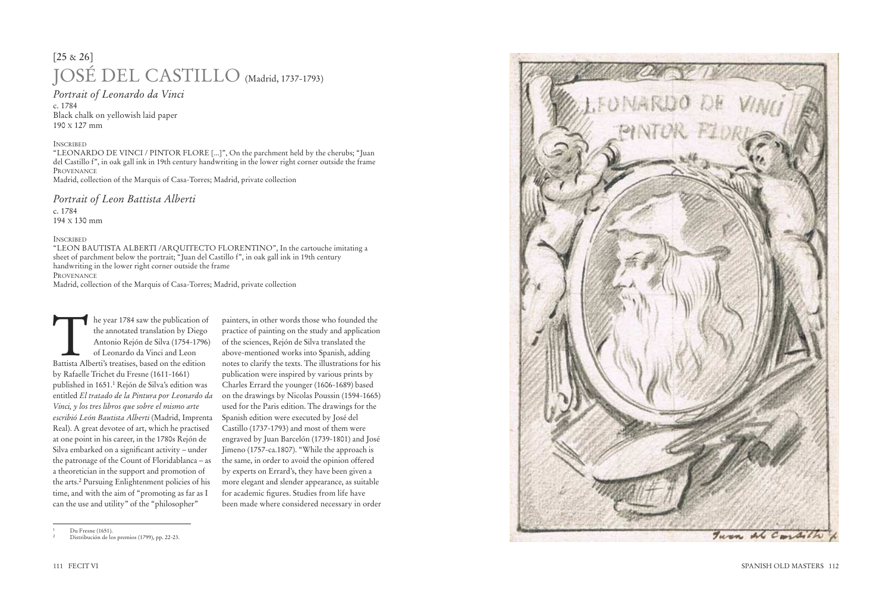he year 1784 saw the publication of the annotated translation by Diego Antonio Rejón de Silva (1754-1796) of Leonardo da Vinci and Leon Battista Alberti's treatises, based on the edition by Rafaelle Trichet du Fresne (1611-1661) published in 1651. 1 Rejón de Silva's edition was entitled *El tratado de la Pintura por Leonardo da Vinci, y los tres libros que sobre el mismo arte escribió León Bautista Alberti* (Madrid, Imprenta Real). A great devotee of art, which he practised at one point in his career, in the 1780s Rejón de Silva embarked on a significant activity – under the patronage of the Count of Floridablanca – as a theoretician in the support and promotion of the arts. 2 Pursuing Enlightenment policies of his time, and with the aim of "promoting as far as I can the use and utility" of the "philosopher"

painters, in other words those who founded the practice of painting on the study and application of the sciences, Rejón de Silva translated the above-mentioned works into Spanish, adding notes to clarify the texts. The illustrations for his publication were inspired by various prints by Charles Errard the younger (1606-1689) based on the drawings by Nicolas Poussin (1594-1665) used for the Paris edition. The drawings for the Spanish edition were executed by José del Castillo (1737-1793) and most of them were engraved by Juan Barcelón (1739-1801) and José Jimeno (1757-ca.1807). "While the approach is the same, in order to avoid the opinion offered by experts on Errard's, they have been given a more elegant and slender appearance, as suitable for academic figures. Studies from life have been made where considered necessary in order



Du Fresne (1651).

## [25 & 26] JOSÉ DEL CASTILLO (Madrid, 1737-1793)

*Portrait of Leonardo da Vinci*

c. 1784 Black chalk on yellowish laid paper 190 X 127 mm

## INSCRIBED

"LEONARDO DE VINCI / PINTOR FLORE [...]", On the parchment held by the cherubs; "Juan del Castillo f", in oak gall ink in 19th century handwriting in the lower right corner outside the frame PROVENANCE Madrid, collection of the Marquis of Casa-Torres; Madrid, private collection

## *Portrait of Leon Battista Alberti*

c. 1784 194 X 130 mm

## INSCRIBED

"LEON BAUTISTA ALBERTI /ARQUITECTO FLORENTINO", In the cartouche imitating a sheet of parchment below the portrait; "Juan del Castillo f", in oak gall ink in 19th century handwriting in the lower right corner outside the frame PROVENANCE

Madrid, collection of the Marquis of Casa-Torres; Madrid, private collection

<sup>2</sup> Distribución de los premios (1799), pp. 22-23.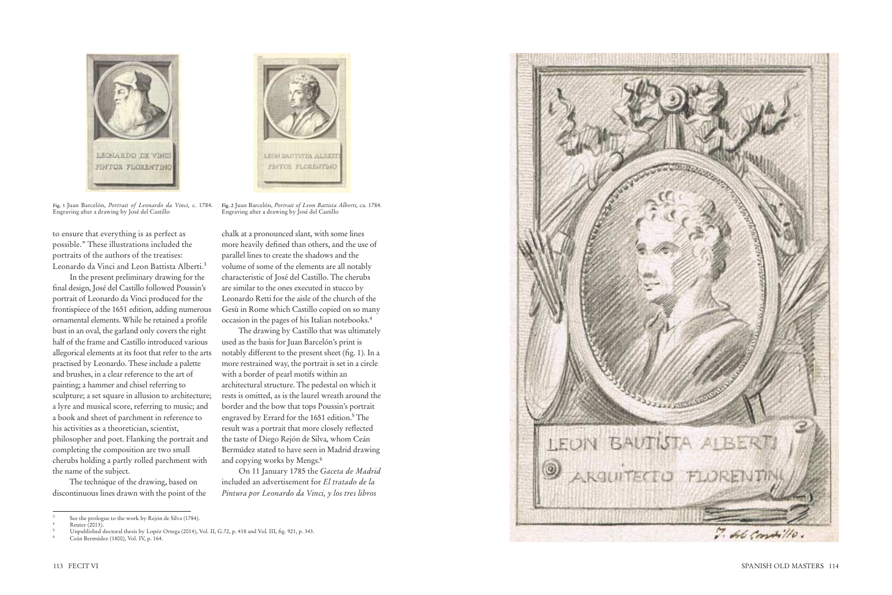to ensure that everything is as perfect as possible." These illustrations included the portraits of the authors of the treatises: Leonardo da Vinci and Leon Battista Alberti.<sup>3</sup>

In the present preliminary drawing for the final design, José del Castillo followed Poussin's portrait of Leonardo da Vinci produced for the frontispiece of the 1651 edition, adding numerous ornamental elements. While he retained a profile bust in an oval, the garland only covers the right half of the frame and Castillo introduced various allegorical elements at its foot that refer to the arts practised by Leonardo. These include a palette and brushes, in a clear reference to the art of painting; a hammer and chisel referring to sculpture; a set square in allusion to architecture; a lyre and musical score, referring to music; and a book and sheet of parchment in reference to his activities as a theoretician, scientist, philosopher and poet. Flanking the portrait and completing the composition are two small cherubs holding a partly rolled parchment with the name of the subject.

The drawing by Castillo that was ultimately used as the basis for Juan Barcelón's print is notably different to the present sheet (fig. 1). In a more restrained way, the portrait is set in a circle with a border of pearl motifs within an architectural structure. The pedestal on which it rests is omitted, as is the laurel wreath around the border and the bow that tops Poussin's portrait engraved by Errard for the 1651 edition. 5 The result was a portrait that more closely reflected the taste of Diego Rejón de Silva, whom Ceán Bermúdez stated to have seen in Madrid drawing and copying works by Mengs.<sup>6</sup>

The technique of the drawing, based on discontinuous lines drawn with the point of the

chalk at a pronounced slant, with some lines more heavily defined than others, and the use of parallel lines to create the shadows and the volume of some of the elements are all notably characteristic of José del Castillo. The cherubs are similar to the ones executed in stucco by Leonardo Retti for the aisle of the church of the Gesù in Rome which Castillo copied on so many occasion in the pages of his Italian notebooks.<sup>4</sup>

On 11 January 1785 the *Gaceta de Madrid* included an advertisement for *El tratado de la Pintura por Leonardo da Vinci, y los tres libros* 





**Fig. 1** Juan Barcelón, *Portrait of Leonardo da Vinci,* c. 1784. Engraving after a drawing by José del Castillo

**Fig. 2** Juan Barcelón, *Portrait of Leon Battista Alberti,* ca. 1784. Engraving after a drawing by José del Castillo

<sup>6</sup> Ceán Bermúdez (1800), Vol. IV, p. 164.



See the prologue to the work by Rejón de Silva (1784).

Reuter (2013).

<sup>5</sup> Unpublished doctoral thesis by Lopéz Ortega (2014), Vol. II, G.72, p. 418 and Vol. III, fig. 921, p. 343.